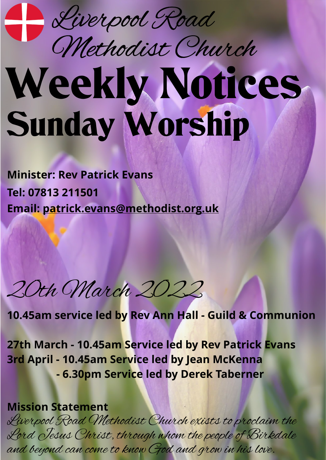

## Weekly Notices Sunday Worship Methodist Church

**Minister: Rev Patrick Evans Tel: 07813 211501 Email: [patrick.evans@methodist.org.uk](mailto:patrick.evans@methodist.org.uk)**

20th March 2022

**10.45am service led by Rev Ann Hall - Guild & Communion**

**27th March - 10.45am Service led by Rev Patrick Evans 3rd April - 10.45am Service led by Jean McKenna - 6.30pm Service led by Derek Taberner**

**Mission Statement**

Liverpool Road Methodist Church exists to proclaim the Lord Jesus Christ, through whom the people of Birkdale and beyond can come to know God and grow in his love.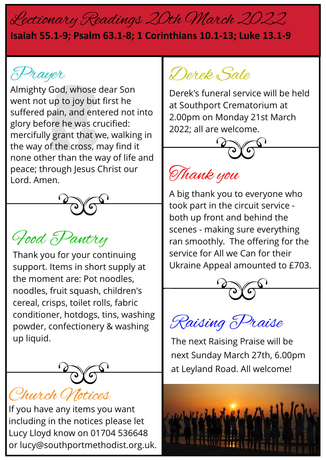## Lectionary Readings 20th March 2022

## **Isaiah 55.1-9; Psalm 63.1-8; 1 Corinthians 10.1-13; Luke 13.1-9**

Prayer

Almighty God, whose dear Son went not up to joy but first he suffered pain, and entered not into glory before he was crucified: mercifully grant that we, walking in the way of the cross, may find it none other than the way of life and peace; through Jesus Christ our Lord. Amen. Thank you



## Food Pantry

Thank you for your continuing support. Items in short supply at the moment are: Pot noodles, noodles, fruit squash, children's cereal, crisps, toilet rolls, fabric conditioner, hotdogs, tins, washing powder, confectionery & washing up liquid.



If you have any items you want including in the notices please let Lucy Lloyd know on 01704 536648 or lucy@southportmethodist.org.uk.

Derek Sale

Derek's funeral service will be held at Southport Crematorium at 2.00pm on Monday 21st March 2022; all are welcome.





A big thank you to everyone who took part in the circuit service both up front and behind the scenes - making sure everything ran smoothly. The offering for the service for All we Can for their Ukraine Appeal amounted to £703.





The next Raising Praise will be next Sunday March 27th, 6.00pm at Leyland Road. All welcome!

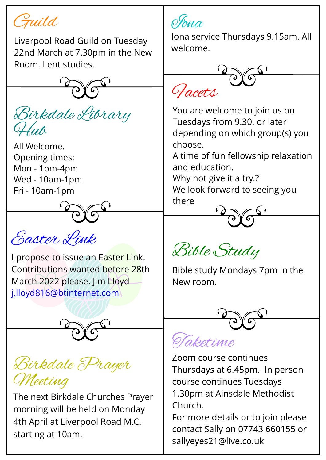Guild

Liverpool Road Guild on Tuesday 22nd March at 7.30pm in the New Room. Lent studies.



All Welcome. Opening times: Mon - 1pm-4pm Wed - 10am-1pm Fri - 10am-1pm



Easter Link

I propose to issue an Easter Link. Contributions wanted before 28th March 2022 please. Jim Lloyd [j.lloyd816@btinternet.com](mailto:j.lloyd816@btinternet.com)



Birkdale Prayer Meeting

The next Birkdale Churches Prayer morning will be held on Monday 4th April at Liverpool Road M.C. starting at 10am.

Iona

Iona service Thursdays 9.15am. All welcome.



 $Birkdale Library$ <br>  $Hub$  Tuesdays from 9.30. or later<br>
depending on which group(s) you You are welcome to join us on Tuesdays from 9.30. or later depending on which group(s) you choose.

A time of fun fellowship relaxation and education.

Why not give it a try.? We look forward to seeing you there

Bible Study

Bible study Mondays 7pm in the New room.

aketime

Zoom course continues Thursdays at 6.45pm. In person course continues Tuesdays 1.30pm at Ainsdale Methodist Church.

For more details or to join please contact Sally on 07743 660155 or sallyeyes21@live.co.uk